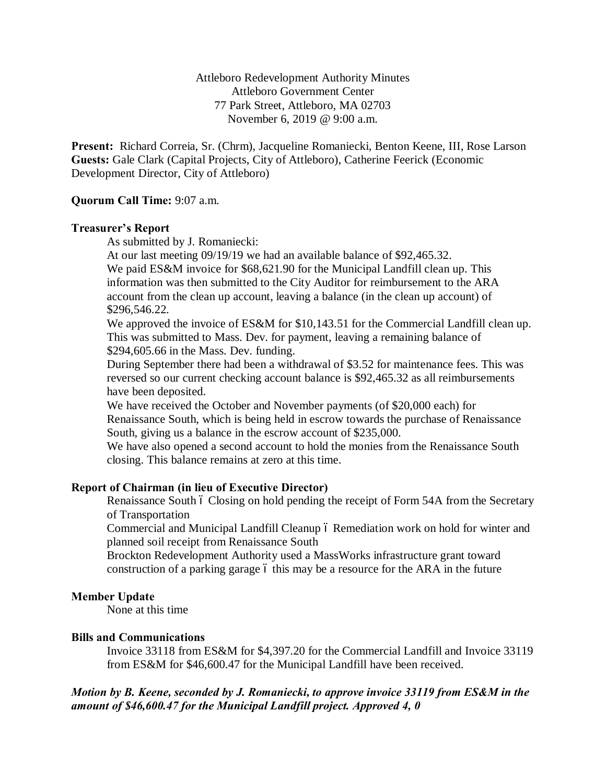Attleboro Redevelopment Authority Minutes Attleboro Government Center 77 Park Street, Attleboro, MA 02703 November 6, 2019 @ 9:00 a.m.

**Present:** Richard Correia, Sr. (Chrm), Jacqueline Romaniecki, Benton Keene, III, Rose Larson **Guests:** Gale Clark (Capital Projects, City of Attleboro), Catherine Feerick (Economic Development Director, City of Attleboro)

# **Quorum Call Time:** 9:07 a.m.

## **Treasurer's Report**

As submitted by J. Romaniecki:

At our last meeting 09/19/19 we had an available balance of \$92,465.32.

We paid ES&M invoice for \$68,621.90 for the Municipal Landfill clean up. This information was then submitted to the City Auditor for reimbursement to the ARA account from the clean up account, leaving a balance (in the clean up account) of \$296,546.22.

We approved the invoice of ES&M for \$10,143.51 for the Commercial Landfill clean up. This was submitted to Mass. Dev. for payment, leaving a remaining balance of \$294,605.66 in the Mass. Dev. funding.

During September there had been a withdrawal of \$3.52 for maintenance fees. This was reversed so our current checking account balance is \$92,465.32 as all reimbursements have been deposited.

We have received the October and November payments (of \$20,000 each) for Renaissance South, which is being held in escrow towards the purchase of Renaissance South, giving us a balance in the escrow account of \$235,000.

We have also opened a second account to hold the monies from the Renaissance South closing. This balance remains at zero at this time.

# **Report of Chairman (in lieu of Executive Director)**

Renaissance South ó Closing on hold pending the receipt of Form 54A from the Secretary of Transportation

Commercial and Municipal Landfill Cleanup ó Remediation work on hold for winter and planned soil receipt from Renaissance South

Brockton Redevelopment Authority used a MassWorks infrastructure grant toward construction of a parking garage 6 this may be a resource for the ARA in the future

## **Member Update**

None at this time

## **Bills and Communications**

Invoice 33118 from ES&M for \$4,397.20 for the Commercial Landfill and Invoice 33119 from ES&M for \$46,600.47 for the Municipal Landfill have been received.

# *Motion by B. Keene, seconded by J. Romaniecki, to approve invoice 33119 from ES&M in the amount of \$46,600.47 for the Municipal Landfill project. Approved 4, 0*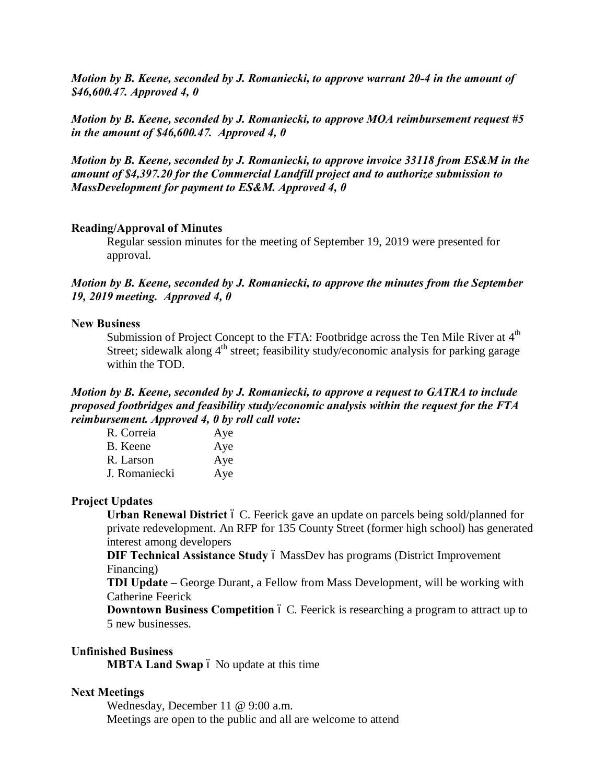*Motion by B. Keene, seconded by J. Romaniecki, to approve warrant 20-4 in the amount of \$46,600.47. Approved 4, 0*

*Motion by B. Keene, seconded by J. Romaniecki, to approve MOA reimbursement request #5 in the amount of \$46,600.47. Approved 4, 0*

*Motion by B. Keene, seconded by J. Romaniecki, to approve invoice 33118 from ES&M in the amount of \$4,397.20 for the Commercial Landfill project and to authorize submission to MassDevelopment for payment to ES&M. Approved 4, 0*

#### **Reading/Approval of Minutes**

Regular session minutes for the meeting of September 19, 2019 were presented for approval.

# *Motion by B. Keene, seconded by J. Romaniecki, to approve the minutes from the September 19, 2019 meeting. Approved 4, 0*

#### **New Business**

Submission of Project Concept to the FTA: Footbridge across the Ten Mile River at  $4<sup>th</sup>$ Street; sidewalk along  $4<sup>th</sup>$  street; feasibility study/economic analysis for parking garage within the TOD.

# *Motion by B. Keene, seconded by J. Romaniecki, to approve a request to GATRA to include proposed footbridges and feasibility study/economic analysis within the request for the FTA reimbursement. Approved 4, 0 by roll call vote:*

| R. Correia    | Aye |
|---------------|-----|
| B. Keene      | Aye |
| R. Larson     | Aye |
| J. Romaniecki | Aye |

#### **Project Updates**

**Urban Renewal District**  $\acute{o}$  C. Feerick gave an update on parcels being sold/planned for private redevelopment. An RFP for 135 County Street (former high school) has generated interest among developers

**DIF Technical Assistance Study** 6 MassDev has programs (District Improvement Financing)

**TDI Update –** George Durant, a Fellow from Mass Development, will be working with Catherine Feerick

**Downtown Business Competition** 6 C. Feerick is researching a program to attract up to 5 new businesses.

### **Unfinished Business**

**MBTA Land Swap** 6 No update at this time

## **Next Meetings**

Wednesday, December 11 @ 9:00 a.m. Meetings are open to the public and all are welcome to attend